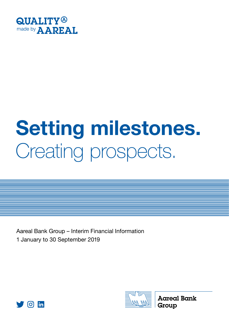

# Creating prospects. Setting milestones.

Aareal Bank Group – Interim Financial Information 1 January to 30 September 2019





**Aareal Bank** Group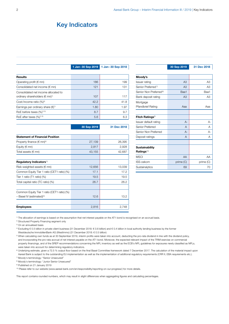## Key Indicators

#### 1 Jan-30 Sep 2019 1 Jan-30 Sep 2018

30 Sep 2019 31 Dec 2018

| 186  | 199  |
|------|------|
| 121  | 131  |
| 107  | 117  |
| 42.2 | 41.8 |
| 1.80 | 1.97 |
| 8.7  | 9.7  |
| 5.6  | 6.3  |
|      |      |

| <b>Statement of Financial Position</b>      |        |        |
|---------------------------------------------|--------|--------|
| Property finance ( $\in$ mn) <sup>4)</sup>  | 27,139 | 26,395 |
| Equity ( $\notin$ mn)                       | 2,817  | 2,928  |
| Total assets ( $\notin$ mn)                 | 43,155 | 42,687 |
|                                             |        |        |
| Regulatory Indicators <sup>5)</sup>         |        |        |
| Risk-weighted assets ( $\notin$ mn)         | 12,656 | 13,039 |
| Common Equity Tier 1 ratio (CET1 ratio) (%) | 17.1   | 17.2   |
| Tier 1 ratio (T1 ratio) (%)                 | 19.5   | 19.5   |
| Total capital ratio (TC ratio) (%)          | 26.7   | 26.2   |
|                                             |        |        |
| Common Equity Tier 1 ratio (CET1 ratio) (%) |        |        |
| $-$ Basel IV (estimated) <sup>6)</sup>      | 12.6   | 13.2   |
|                                             |        |        |
| <b>Employees</b>                            | 2,816  | 2,748  |

| Moody's                            |                |           |
|------------------------------------|----------------|-----------|
| Issuer rating                      | A3             | A3        |
| Senior Preferred <sup>7)</sup>     | A <sub>3</sub> | A3        |
| Senior Non Preferred <sup>8)</sup> | Baa1           | Baa1      |
| Bank deposit rating                | A <sub>3</sub> | A3        |
| Mortgage                           |                |           |
| <b>Pfandbrief Rating</b>           | Ааа            | Ааа       |
|                                    |                |           |
| Fitch Ratings <sup>9)</sup>        |                |           |
| Issuer default rating              | $A -$          | А-        |
| Senior Preferred                   | A              | А         |
| Senior Non Preferred               | $A -$          | $A -$     |
| Deposit ratings                    | A              | А         |
|                                    |                |           |
| <b>Sustainability</b>              |                |           |
| Ratings <sup>10)</sup>             |                |           |
| <b>MSCI</b>                        | AA             | AA        |
| ISS-oekom                          | prime (C)      | prime (C) |
| Sustainalytics                     | 69             | 70        |

30 Sep 2019 31 Dec 2018

1) The allocation of earnings is based on the assumption that net interest payable on the AT1 bond is recognised on an accrual basis.

2) Structured Property Financing segment only

3) On an annualised basis

- 4) Excluding € 0.5 billion in private client business (31 December 2018: € 0.6 billion) and € 0.4 billion in local authority lending business by the former Westdeutsche ImmobilienBank AG (WestImmo) (31 December 2018: € 0.5 billion)
- 5) When calculating own funds as at 30 September 2019, interim profits were taken into account, deducting the pro-rata dividend in line with the dividend policy, and incorporating the pro-rata accrual of net interest payable on the AT1 bond. Moreover, the expected relevant impact of the TRIM exercise on commercial property financings, and of the SREP recommendations concerning the NPL inventory as well as the ECB's NPL guidelines for exposures newly classified as NPLs, were taken into account for determining regulatory indicators.

<sup>6)</sup> Underlying estimate, given a 72.5 % output floor based on the final Basel Committee framework dated 7 December 2017. The calculation of the material impact upon Aareal Bank is subject to the outstanding EU implementation as well as the implementation of additional regulatory requirements (CRR II, EBA requirements etc.). 7) Moody's terminology: "Senior Unsecured"

8) Moody's terminology: "Junior Senior Unsecured"

9) Published on 21 January 2019

10) Please refer to our website (www.aareal-bank.com/en/responsibility/reporting-on-our-progress/) for more details.

This report contains rounded numbers, which may result in slight differences when aggregating figures and calculating percentages.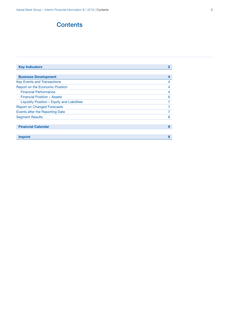## **Contents**

| <b>Key Indicators</b>                       | $\mathbf{2}$ |
|---------------------------------------------|--------------|
|                                             |              |
| <b>Business Development</b>                 | 4            |
| <b>Key Events and Transactions</b>          | 4            |
| <b>Report on the Economic Position</b>      | 4            |
| <b>Financial Performance</b>                | 4            |
| Financial Position - Assets                 | 6            |
| Liquidity Position - Equity and Liabilities | 7            |
| <b>Report on Changed Forecasts</b>          |              |
| Events after the Reporting Date             | 7            |
| <b>Segment Results</b>                      | 8            |
|                                             |              |
| <b>Financial Calendar</b>                   | 9            |
|                                             |              |
| Imprint                                     | 9            |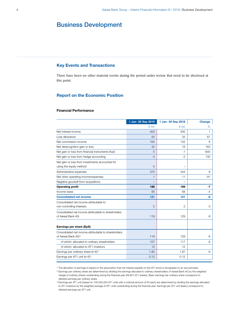## Business Development

### Key Events and Transactions

There have been no other material events during the period under review that need to be disclosed at this point.

#### Report on the Economic Position

#### Financial Performance

|                                                            | 1 Jan-30 Sep 2019 | 1 Jan-30 Sep 2018 | Change |
|------------------------------------------------------------|-------------------|-------------------|--------|
|                                                            | $\epsilon$ mn     | $\epsilon$ mn     | %      |
| Net interest income                                        | 403               | 400               | 1      |
| Loss allowance                                             | 55                | 33                | 67     |
| Net commission income                                      | 164               | 152               | 8      |
| Net derecognition gain or loss                             | 42                | 16                | 163    |
| Net gain or loss from financial instruments (fvpl)         | 5                 | -1                | $-600$ |
| Net gain or loss from hedge accounting                     | $-4$              | $-2$              | 100    |
| Net gain or loss from investments accounted for            |                   |                   |        |
| using the equity method                                    | $\overline{0}$    |                   |        |
| Administrative expenses                                    | 370               | 344               | 8      |
| Net other operating income/expenses                        | $\mathbf{1}$      | 11                | $-91$  |
| Negative goodwill from acquisitions                        |                   |                   |        |
| <b>Operating profit</b>                                    | 186               | 199               | -7     |
| Income taxes                                               | 65                | 68                | $-4$   |
| <b>Consolidated net income</b>                             | 121               | 131               | $-8$   |
| Consolidated net income attributable to                    |                   |                   |        |
| non-controlling interests                                  | $\overline{2}$    | 2                 | 0      |
| Consolidated net income attributable to shareholders       |                   |                   |        |
| of Aareal Bank AG                                          | 119               | 129               | -8     |
|                                                            |                   |                   |        |
| Earnings per share (EpS)                                   |                   |                   |        |
| Consolidated net income attributable to shareholders       |                   |                   |        |
| of Aareal Bank AG <sup>1)</sup>                            | 119               | 129               | -8     |
| of which: allocated to ordinary shareholders               | 107               | 117               | $-9$   |
| of which: allocated to AT1 investors                       | 12                | 12                |        |
| Earnings per ordinary share (in $\epsilon$ ) <sup>2)</sup> | 1.80              | 1.97              | $-9$   |
| Earnings per AT1 unit (in $\epsilon$ ) <sup>3)</sup>       | 0.12              | 0.12              |        |

1) The allocation of earnings is based on the assumption that net interest payable on the AT1 bond is recognised on an accrual basis.

<sup>2)</sup> Earnings per ordinary share are determined by dividing the earnings allocated to ordinary shareholders of Aareal Bank AG by the weighted verage of ordinary shares outstanding during the financial year (59,857,221 shares). Basic earnings per ordinary share correspond to (diluted) earnings per ordinary share.

3) Earnings per AT1 unit (based on 100,000,000 AT1 units with a notional amount of €3 each) are determined by dividing the earnings allocated to AT1 investors by the weighted average of AT1 units outstanding during the financial year. Earnings per AT1 unit (basic) correspond to (diluted) earnings per AT1 unit.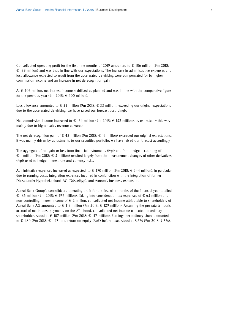Consolidated operating profit for the first nine months of 2019 amounted to  $\epsilon$  186 million (9m 2018: € 199 million) and was thus in line with our expectations. The increase in administrative expenses and loss allowance expected to result from the accelerated de-risking were compensated for by higher commission income and an increase in net derecognition gain.

At € 403 million, net interest income stabilised as planned and was in line with the comparative figure for the previous year (9m 2018:  $\epsilon$  400 million).

Loss allowance amounted to  $\epsilon$  55 million (9m 2018:  $\epsilon$  33 million), exceeding our original expectations due to the accelerated de-risking; we have raised our forecast accordingly.

Net commission income increased to  $\epsilon$  164 million (9m 2018:  $\epsilon$  152 million), as expected – this was mainly due to higher sales revenue at Aareon.

The net derecognition gain of  $\epsilon$  42 million (9m 2018:  $\epsilon$  16 million) exceeded our original expectations; it was mainly driven by adjustments to our securities portfolio; we have raised our forecast accordingly.

The aggregate of net gain or loss from financial instruments (fvpl) and from hedge accounting of  $\epsilon$  1 million (9m 2018:  $\epsilon$ -3 million) resulted largely from the measurement changes of other derivatives (fvpl) used to hedge interest rate and currency risks.

Administrative expenses increased as expected, to  $\epsilon$  370 million (9m 2018:  $\epsilon$  344 million), in particular due to running costs, integration expenses incurred in conjunction with the integration of former Düsseldorfer Hypothekenbank AG (Düsselhyp), and Aareon's business expansion.

Aareal Bank Group's consolidated operating profit for the first nine months of the financial year totalled € 186 million (9m 2018: € 199 million). Taking into consideration tax expenses of € 65 million and non-controlling interest income of  $\epsilon$  2 million, consolidated net income attributable to shareholders of Aareal Bank AG amounted to  $\epsilon$  119 million (9m 2018:  $\epsilon$  129 million). Assuming the pro rata temporis accrual of net interest payments on the AT1 bond, consolidated net income allocated to ordinary shareholders stood at  $\epsilon$  107 million (9m 2018:  $\epsilon$  117 million). Earnings per ordinary share amounted to € 1.80 (9m 2018: € 1.97) and return on equity (RoE) before taxes stood at 8.7 % (9m 2018: 9.7 %).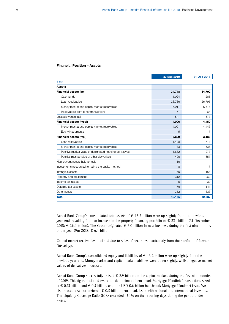#### Financial Position – Assets

|                                                         | 30 Sep 2019   | 31 Dec 2018    |
|---------------------------------------------------------|---------------|----------------|
| $\n  Emn\n$                                             |               |                |
| <b>Assets</b>                                           |               |                |
| Financial assets (ac)                                   | 34,748        | 34,702         |
| Cash funds                                              | 1,024         | 1,265          |
| Loan receivables                                        | 26,736        | 26,795         |
| Money market and capital market receivables             | 6,911         | 6,578          |
| Receivables from other transactions                     | 77            | 64             |
| Loss allowance (ac)                                     | $-541$        | $-577$         |
| <b>Financial assets (fvoci)</b>                         | 4,096         | 4,450          |
| Money market and capital market receivables             | 4,091         | 4,443          |
| Equity instruments                                      | 5             | 7              |
| <b>Financial assets (fvpl)</b>                          | 3,809         | 3,183          |
| Loan receivables                                        | 1,498         | 711            |
| Money market and capital market receivables             | 133           | 538            |
| Positive market value of designated hedging derivatives | 1,682         | 1.277          |
| Positive market value of other derivatives              | 496           | 657            |
| Non-current assets held for sale                        | 16            |                |
| Investments accounted for using the equity method       | $\mathcal{B}$ | $\overline{7}$ |
| Intangible assets                                       | 170           | 158            |
| Property and equipment                                  | 312           | 260            |
| Income tax assets                                       | 9             | 30             |
| Deferred tax assets                                     | 176           | 141            |
| Other assets                                            | 352           | 333            |
| <b>Total</b>                                            | 43,155        | 42,687         |

Aareal Bank Group's consolidated total assets of  $\epsilon$  43.2 billion were up slightly from the previous year-end, resulting from an increase in the property financing portfolio to € 27.1 billion (31 December 2018: € 26.4 billion). The Group originated € 6.0 billion in new business during the first nine months of the year (9m 2018:  $\epsilon$  6.1 billion).

Capital market receivables declined due to sales of securities, particularly from the portfolio of former Düsselhyp.

Aareal Bank Group's consolidated equity and liabilities of  $\epsilon$  43.2 billion were up slightly from the previous year-end. Money market and capital market liabilities were down slightly, whilst negative market values of derivatives increased.

Aareal Bank Group successfully raised  $\epsilon$  2.9 billion on the capital markets during the first nine months of 2019. This figure included two euro-denominated benchmark Mortgage Pfandbrief transactions sized at € 0.75 billion and € 0.5 billion, and one USD 0.6 billion benchmark Mortgage Pfandbrief issue. We also placed a senior preferred  $\epsilon$  0.5 billion benchmark issue with national and international investors. The Liquidity Coverage Ratio (LCR) exceeded 150 % on the reporting days during the period under review.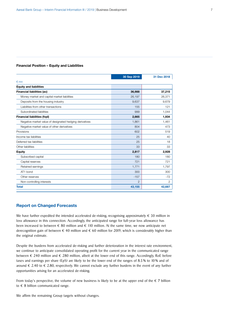#### Financial Position – Equity and Liabilities

|                                                         | 30 Sep 2019    | 31 Dec 2018 |
|---------------------------------------------------------|----------------|-------------|
| $\n  Emn\n$                                             |                |             |
| <b>Equity and liabilities</b>                           |                |             |
| <b>Financial liabilities (ac)</b>                       | 36,988         | 37,215      |
| Money market and capital market liabilities             | 26,197         | 26,371      |
| Deposits from the housing industry                      | 9,637          | 9,679       |
| Liabilities from other transactions                     | 155            | 121         |
| Subordinated liabilities                                | 999            | 1,044       |
| <b>Financial liabilities (fvpl)</b>                     | 2,665          | 1,934       |
| Negative market value of designated hedging derivatives | 1,861          | 1,461       |
| Negative market value of other derivatives              | 804            | 473         |
| Provisions                                              | 602            | 519         |
| Income tax liabilities                                  | 25             | 40          |
| Deferred tax liabilities                                | 25             | 18          |
| Other liabilities                                       | 33             | 33          |
| Equity                                                  | 2,817          | 2,928       |
| Subscribed capital                                      | 180            | 180         |
| Capital reserves                                        | 721            | 721         |
| Retained earnings                                       | 1,771          | 1,797       |
| AT1 bond                                                | 300            | 300         |
| Other reserves                                          | $-157$         | $-72$       |
| Non-controlling interests                               | $\overline{2}$ | 2           |
| <b>Total</b>                                            | 43,155         | 42,687      |

#### Report on Changed Forecasts

We have further expedited the intended accelerated de-risking, recognising approximately  $\epsilon$  30 million in loss allowance in this connection. Accordingly, the anticipated range for full-year loss allowance has been increased to between  $\epsilon$  80 million and  $\epsilon$  110 million. At the same time, we now anticipate net derecognition gain of between  $\epsilon$  40 million and  $\epsilon$  60 million for 2019, which is considerably higher than the original estimate.

Despite the burdens from accelerated de-risking and further deterioration in the interest rate environment, we continue to anticipate consolidated operating profit for the current year in the communicated range between  $\epsilon$  240 million and  $\epsilon$  280 million, albeit at the lower end of this range. Accordingly, RoE before taxes and earnings per share (EpS) are likely to be the lower end of the ranges of 8.5 % to 10 % and of around  $\epsilon$  2.40 to  $\epsilon$  2.80, respectively. We cannot exclude any further burdens in the event of any further opportunities arising for an accelerated de-risking.

From today's perspective, the volume of new business is likely to be at the upper end of the  $\epsilon$  7 billion to  $\epsilon$  8 billion communicated range.

We affirm the remaining Group targets without changes.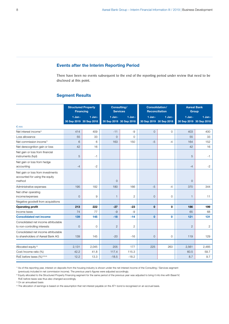## Events after the Interim Reporting Period

There have been no events subsequent to the end of the reporting period under review that need to be disclosed at this point.

#### Segment Results

|                                                                               | <b>Structured Property</b><br><b>Financing</b> |             | Consulting/<br><b>Services</b>    |              | Consolidation/<br><b>Reconciliation</b> |              | <b>Aareal Bank</b><br><b>Group</b>  |                |
|-------------------------------------------------------------------------------|------------------------------------------------|-------------|-----------------------------------|--------------|-----------------------------------------|--------------|-------------------------------------|----------------|
|                                                                               | 1 Jan-<br>30 Sep 2019 30 Sep 2018              | $1$ Jan -   | 1 Jan-<br>30 Sep 2019 30 Sep 2018 | 1 Jan-       | $1$ Jan -<br>30 Sep 2019 30 Sep 2018    | $1$ Jan -    | $1$ Jan-<br>30 Sep 2019 30 Sep 2018 | 1 Jan-         |
| $\n  mn\n$                                                                    |                                                |             |                                   |              |                                         |              |                                     |                |
| Net interest income <sup>1)</sup>                                             | 414                                            | 409         | $-11$                             | $-9$         | $\Omega$                                | $\Omega$     | 403                                 | 400            |
| Loss allowance                                                                | 55                                             | 33          | $\mathbf{O}$                      | $\mathbf{0}$ |                                         |              | 55                                  | 33             |
| Net commission income <sup>1)</sup>                                           | 6                                              | 6           | 163                               | 150          | $-5$                                    | $-4$         | 164                                 | 152            |
| Net derecognition gain or loss                                                | 42                                             | 16          |                                   |              |                                         |              | 42                                  | 16             |
| Net gain or loss from financial<br>instruments (fvpl)                         | 5                                              | $-1$        |                                   |              |                                         |              | 5                                   | $-1$           |
| Net gain or loss from hedge<br>accounting                                     | $-4$                                           | $-2$        |                                   |              |                                         |              | $-4$                                | $-2$           |
| Net gain or loss from investments<br>accounted for using the equity<br>method |                                                |             | $\Omega$                          |              |                                         |              | $\Omega$                            |                |
| Administrative expenses                                                       | 195                                            | 182         | 180                               | 166          | $-5$                                    | $-4$         | 370                                 | 344            |
| Net other operating<br>income/expenses                                        | $\overline{O}$                                 | 9           | 1                                 | $\mathbf{2}$ | $\mathbf 0$                             | $\mathbf 0$  | $\mathbf{1}$                        | 11             |
| Negative goodwill from acquisitions                                           |                                                |             |                                   |              |                                         |              |                                     |                |
| <b>Operating profit</b>                                                       | 213                                            | 222         | $-27$                             | $-23$        | $\mathbf 0$                             | $\mathbf 0$  | 186                                 | 199            |
| Income taxes                                                                  | 74                                             | 77          | $-9$                              | -9           |                                         |              | 65                                  | 68             |
| <b>Consolidated net income</b>                                                | 139                                            | 145         | $-18$                             | $-14$        | $\mathbf{0}$                            | $\mathbf 0$  | 121                                 | 131            |
| Consolidated net income attributable<br>to non-controlling interests          | $\overline{O}$                                 | $\mathbf 0$ | $\mathbf{2}$                      | $\mathbf{2}$ |                                         |              | $\overline{2}$                      | $\overline{c}$ |
| Consolidated net income attributable<br>to shareholders of Aareal Bank AG     | 139                                            | 145         | $-20$                             | $-16$        | $\overline{0}$                          | $\mathbf{0}$ | 119                                 | 129            |
|                                                                               |                                                |             |                                   |              |                                         |              |                                     |                |
| Allocated equity <sup>2)</sup>                                                | 2,131                                          | 2,045       | 205                               | 177          | 225                                     | 263          | 2,561                               | 2,485          |
| Cost/income ratio (%)                                                         | 42.2                                           | 41.8        | 117.4                             | 115.3        |                                         |              | 60.5                                | 59.7           |
| RoE before taxes (%) <sup>2)3)4)</sup>                                        | 12.2                                           | 13.3        | $-18.5$                           | $-18.2$      |                                         |              | 8.7                                 | 9.7            |

1) As of this reporting year, interest on deposits from the housing industry is shown under the net interest income of the Consulting / Services segment (previously included in net commission income). The previous year's figures were adjusted accordingly.

<sup>2)</sup> Equity allocated to the Structured Property Financing segment for the same period of the previous year was adjusted to bring it into line with Basel IV;

RoE before taxes was thus also changed accordingly.

<sup>3)</sup> On an annualised basis

4) The allocation of earnings is based on the assumption that net interest payable on the AT1 bond is recognised on an accrual basis.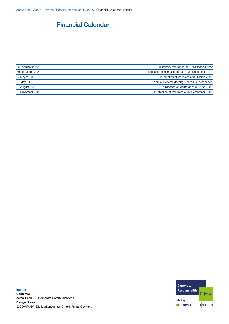## Financial Calendar

| 26 February 2020  | Preliminary results for the 2019 financial year     |
|-------------------|-----------------------------------------------------|
| End of March 2020 | Publication of annual report as at 31 December 2019 |
| 12 May 2020       | Publication of results as at 31 March 2020          |
| 27 May 2020       | Annual General Meeting - Kurhaus, Wiesbaden         |
| 13 August 2020    | Publication of results as at 30 June 2020           |
| 12 November 2020  | Publication of results as at 30 September 2020      |
|                   |                                                     |

Imprint